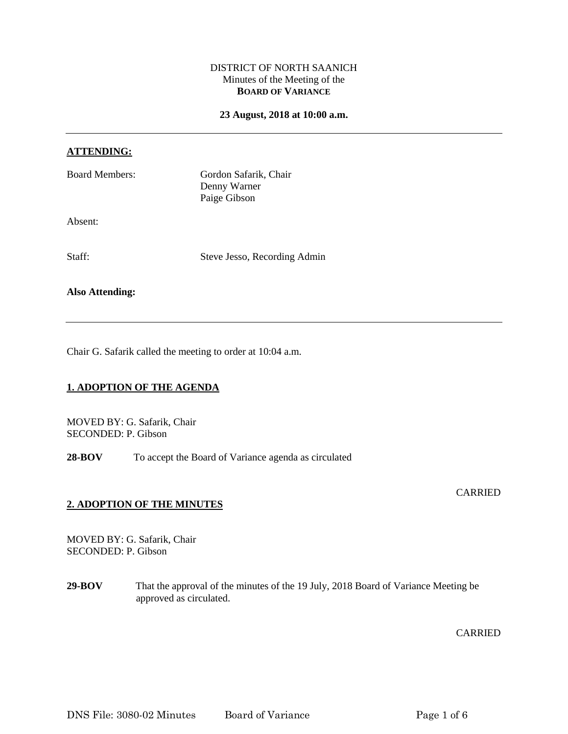## DISTRICT OF NORTH SAANICH Minutes of the Meeting of the **BOARD OF VARIANCE**

#### **23 August, 2018 at 10:00 a.m.**

#### **ATTENDING:**

| <b>Board Members:</b> | Gordon Safarik, Chair<br>Denny Warner<br>Paige Gibson |
|-----------------------|-------------------------------------------------------|
| Absent:               |                                                       |
| Staff:                | Steve Jesso, Recording Admin                          |

# **Also Attending:**

Chair G. Safarik called the meeting to order at 10:04 a.m.

# **1. ADOPTION OF THE AGENDA**

MOVED BY: G. Safarik, Chair SECONDED: P. Gibson

28-BOV To accept the Board of Variance agenda as circulated

## **2. ADOPTION OF THE MINUTES**

MOVED BY: G. Safarik, Chair SECONDED: P. Gibson

**29-BOV** That the approval of the minutes of the 19 July, 2018 Board of Variance Meeting be approved as circulated.

CARRIED

CARRIED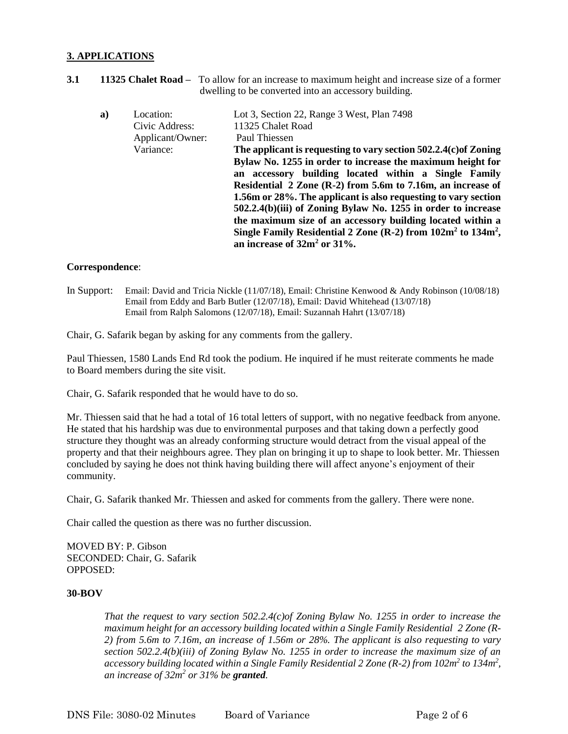# **3. APPLICATIONS**

**3.1 11325 Chalet Road –** To allow for an increase to maximum height and increase size of a former dwelling to be converted into an accessory building.

| a) | Location:        | Lot 3, Section 22, Range 3 West, Plan 7498                                                                                                                                                                                                                                                                                                                                                                                                                 |
|----|------------------|------------------------------------------------------------------------------------------------------------------------------------------------------------------------------------------------------------------------------------------------------------------------------------------------------------------------------------------------------------------------------------------------------------------------------------------------------------|
|    | Civic Address:   | 11325 Chalet Road                                                                                                                                                                                                                                                                                                                                                                                                                                          |
|    | Applicant/Owner: | Paul Thiessen                                                                                                                                                                                                                                                                                                                                                                                                                                              |
|    | Variance:        | The applicant is requesting to vary section $502.2.4(c)$ of Zoning                                                                                                                                                                                                                                                                                                                                                                                         |
|    |                  | Bylaw No. 1255 in order to increase the maximum height for<br>an accessory building located within a Single Family<br>Residential 2 Zone (R-2) from 5.6m to 7.16m, an increase of<br>1.56m or 28%. The applicant is also requesting to vary section<br>502.2.4(b)(iii) of Zoning Bylaw No. 1255 in order to increase<br>the maximum size of an accessory building located within a<br>Single Family Residential 2 Zone $(R-2)$ from $102m^2$ to $134m^2$ , |
|    |                  | an increase of $32m^2$ or $31\%$ .                                                                                                                                                                                                                                                                                                                                                                                                                         |

#### **Correspondence**:

In Support: Email: David and Tricia Nickle (11/07/18), Email: Christine Kenwood & Andy Robinson (10/08/18) Email from Eddy and Barb Butler (12/07/18), Email: David Whitehead (13/07/18) Email from Ralph Salomons (12/07/18), Email: Suzannah Hahrt (13/07/18)

Chair, G. Safarik began by asking for any comments from the gallery.

Paul Thiessen, 1580 Lands End Rd took the podium. He inquired if he must reiterate comments he made to Board members during the site visit.

Chair, G. Safarik responded that he would have to do so.

Mr. Thiessen said that he had a total of 16 total letters of support, with no negative feedback from anyone. He stated that his hardship was due to environmental purposes and that taking down a perfectly good structure they thought was an already conforming structure would detract from the visual appeal of the property and that their neighbours agree. They plan on bringing it up to shape to look better. Mr. Thiessen concluded by saying he does not think having building there will affect anyone's enjoyment of their community.

Chair, G. Safarik thanked Mr. Thiessen and asked for comments from the gallery. There were none.

Chair called the question as there was no further discussion.

MOVED BY: P. Gibson SECONDED: Chair, G. Safarik OPPOSED:

#### **30-BOV**

*That the request to vary section 502.2.4(c)of Zoning Bylaw No. 1255 in order to increase the maximum height for an accessory building located within a Single Family Residential 2 Zone (R-2) from 5.6m to 7.16m, an increase of 1.56m or 28%. The applicant is also requesting to vary section 502.2.4(b)(iii) of Zoning Bylaw No. 1255 in order to increase the maximum size of an accessory building located within a Single Family Residential 2 Zone (R-2) from 102m<sup>2</sup> to 134m<sup>2</sup> , an increase of 32m<sup>2</sup> or 31% be granted.*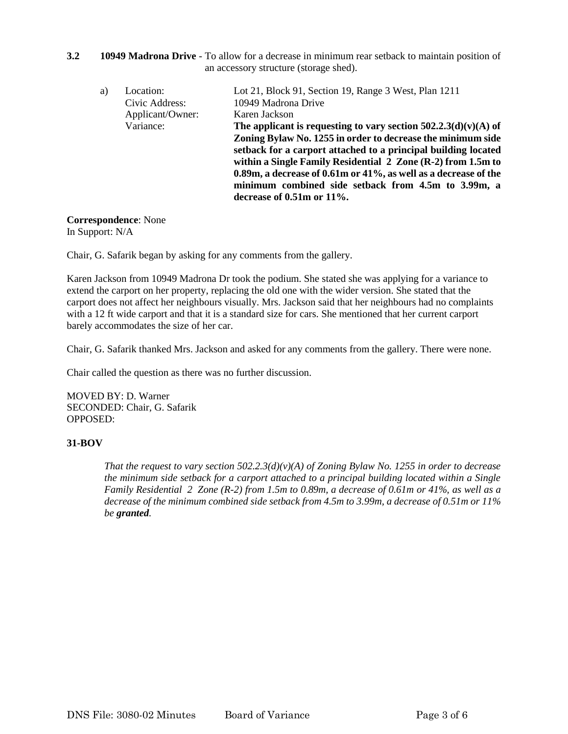**3.2 10949 Madrona Drive** - To allow for a decrease in minimum rear setback to maintain position of an accessory structure (storage shed).

| a) | Location:        | Lot 21, Block 91, Section 19, Range 3 West, Plan 1211                                                                                                           |
|----|------------------|-----------------------------------------------------------------------------------------------------------------------------------------------------------------|
|    | Civic Address:   | 10949 Madrona Drive                                                                                                                                             |
|    | Applicant/Owner: | Karen Jackson                                                                                                                                                   |
|    | Variance:        | The applicant is requesting to vary section $502.2.3(d)(v)(A)$ of                                                                                               |
|    |                  | Zoning Bylaw No. 1255 in order to decrease the minimum side                                                                                                     |
|    |                  | setback for a carport attached to a principal building located<br>within a Single Family Residential $2 \text{ Zone (R-2) from } 1.5 \text{m to } 1.5 \text{m}$ |
|    |                  | 0.89m, a decrease of 0.61m or 41%, as well as a decrease of the<br>minimum combined side setback from 4.5m to 3.99m, a                                          |
|    |                  | decrease of $0.51m$ or $11\%$ .                                                                                                                                 |

## **Correspondence**: None

In Support: N/A

Chair, G. Safarik began by asking for any comments from the gallery.

Karen Jackson from 10949 Madrona Dr took the podium. She stated she was applying for a variance to extend the carport on her property, replacing the old one with the wider version. She stated that the carport does not affect her neighbours visually. Mrs. Jackson said that her neighbours had no complaints with a 12 ft wide carport and that it is a standard size for cars. She mentioned that her current carport barely accommodates the size of her car.

Chair, G. Safarik thanked Mrs. Jackson and asked for any comments from the gallery. There were none.

Chair called the question as there was no further discussion.

MOVED BY: D. Warner SECONDED: Chair, G. Safarik OPPOSED:

## **31-BOV**

*That the request to vary section 502.2.3(d)(v)(A) of Zoning Bylaw No. 1255 in order to decrease the minimum side setback for a carport attached to a principal building located within a Single Family Residential 2 Zone (R-2) from 1.5m to 0.89m, a decrease of 0.61m or 41%, as well as a decrease of the minimum combined side setback from 4.5m to 3.99m, a decrease of 0.51m or 11% be granted.*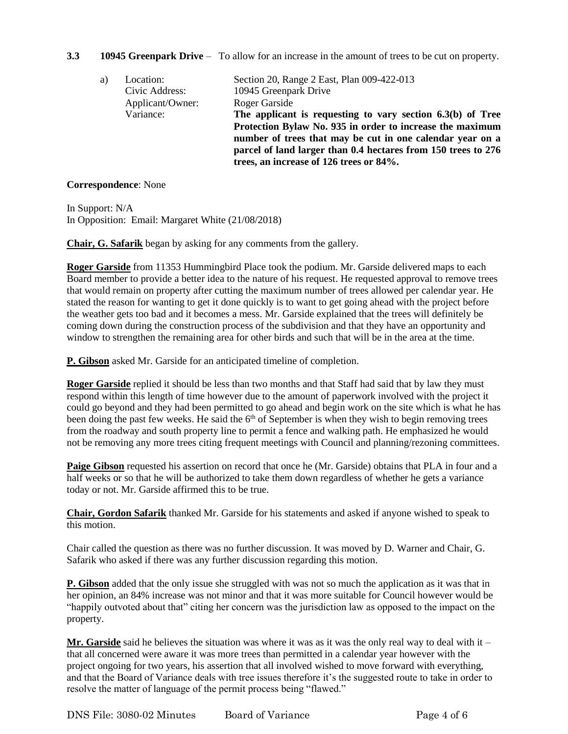# **3.3 10945 Greenpark Drive** – To allow for an increase in the amount of trees to be cut on property.

| a) | Location:        | Section 20, Range 2 East, Plan 009-422-013                    |
|----|------------------|---------------------------------------------------------------|
|    | Civic Address:   | 10945 Greenpark Drive                                         |
|    | Applicant/Owner: | Roger Garside                                                 |
|    | Variance:        | The applicant is requesting to vary section $6.3(b)$ of Tree  |
|    |                  | Protection Bylaw No. 935 in order to increase the maximum     |
|    |                  | number of trees that may be cut in one calendar year on a     |
|    |                  | parcel of land larger than 0.4 hectares from 150 trees to 276 |
|    |                  | trees, an increase of 126 trees or 84%.                       |

### **Correspondence**: None

In Support: N/A In Opposition: Email: Margaret White (21/08/2018)

**Chair, G. Safarik** began by asking for any comments from the gallery.

**Roger Garside** from 11353 Hummingbird Place took the podium. Mr. Garside delivered maps to each Board member to provide a better idea to the nature of his request. He requested approval to remove trees that would remain on property after cutting the maximum number of trees allowed per calendar year. He stated the reason for wanting to get it done quickly is to want to get going ahead with the project before the weather gets too bad and it becomes a mess. Mr. Garside explained that the trees will definitely be coming down during the construction process of the subdivision and that they have an opportunity and window to strengthen the remaining area for other birds and such that will be in the area at the time.

**P. Gibson** asked Mr. Garside for an anticipated timeline of completion.

**Roger Garside** replied it should be less than two months and that Staff had said that by law they must respond within this length of time however due to the amount of paperwork involved with the project it could go beyond and they had been permitted to go ahead and begin work on the site which is what he has been doing the past few weeks. He said the  $6<sup>th</sup>$  of September is when they wish to begin removing trees from the roadway and south property line to permit a fence and walking path. He emphasized he would not be removing any more trees citing frequent meetings with Council and planning/rezoning committees.

**Paige Gibson** requested his assertion on record that once he (Mr. Garside) obtains that PLA in four and a half weeks or so that he will be authorized to take them down regardless of whether he gets a variance today or not. Mr. Garside affirmed this to be true.

**Chair, Gordon Safarik** thanked Mr. Garside for his statements and asked if anyone wished to speak to this motion.

Chair called the question as there was no further discussion. It was moved by D. Warner and Chair, G. Safarik who asked if there was any further discussion regarding this motion.

**P. Gibson** added that the only issue she struggled with was not so much the application as it was that in her opinion, an 84% increase was not minor and that it was more suitable for Council however would be "happily outvoted about that" citing her concern was the jurisdiction law as opposed to the impact on the property.

**Mr. Garside** said he believes the situation was where it was as it was the only real way to deal with it – that all concerned were aware it was more trees than permitted in a calendar year however with the project ongoing for two years, his assertion that all involved wished to move forward with everything, and that the Board of Variance deals with tree issues therefore it's the suggested route to take in order to resolve the matter of language of the permit process being "flawed."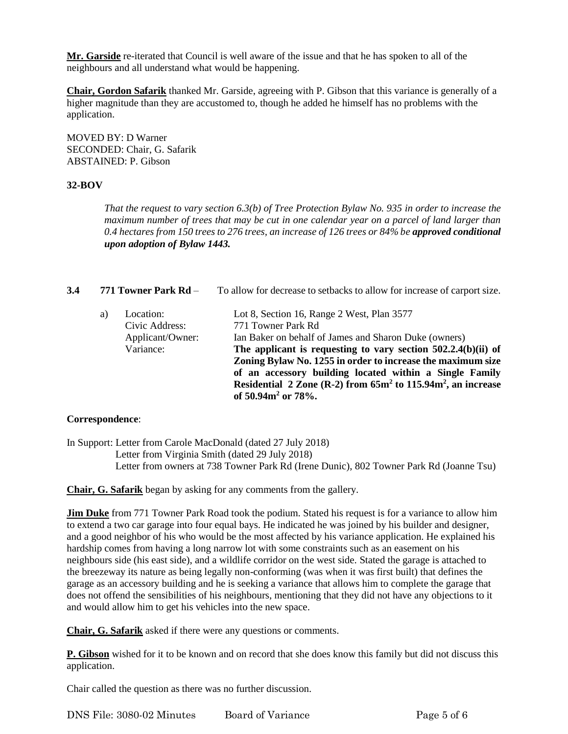**Mr. Garside** re-iterated that Council is well aware of the issue and that he has spoken to all of the neighbours and all understand what would be happening.

**Chair, Gordon Safarik** thanked Mr. Garside, agreeing with P. Gibson that this variance is generally of a higher magnitude than they are accustomed to, though he added he himself has no problems with the application.

MOVED BY: D Warner SECONDED: Chair, G. Safarik ABSTAINED: P. Gibson

## **32-BOV**

*That the request to vary section 6.3(b) of Tree Protection Bylaw No. 935 in order to increase the maximum number of trees that may be cut in one calendar year on a parcel of land larger than*  0.4 hectares from 150 trees to 276 trees, an increase of 126 trees or 84% be approved conditional *upon adoption of Bylaw 1443.*

| 3.4 | 771 Towner Park Rd – |                                                              | To allow for decrease to setbacks to allow for increase of carport size.                                                                                                                                                                                                                                                                                                                                                  |  |
|-----|----------------------|--------------------------------------------------------------|---------------------------------------------------------------------------------------------------------------------------------------------------------------------------------------------------------------------------------------------------------------------------------------------------------------------------------------------------------------------------------------------------------------------------|--|
|     | a)                   | Location:<br>Civic Address:<br>Applicant/Owner:<br>Variance: | Lot 8, Section 16, Range 2 West, Plan 3577<br>771 Towner Park Rd<br>Ian Baker on behalf of James and Sharon Duke (owners)<br>The applicant is requesting to vary section $502.2.4(b)(ii)$ of<br>Zoning Bylaw No. 1255 in order to increase the maximum size<br>of an accessory building located within a Single Family<br>Residential 2 Zone (R-2) from $65m^2$ to $115.94m^2$ , an increase<br>of $50.94m^2$ or $78\%$ . |  |

#### **Correspondence**:

In Support: Letter from Carole MacDonald (dated 27 July 2018) Letter from Virginia Smith (dated 29 July 2018) Letter from owners at 738 Towner Park Rd (Irene Dunic), 802 Towner Park Rd (Joanne Tsu)

**Chair, G. Safarik** began by asking for any comments from the gallery.

**Jim Duke** from 771 Towner Park Road took the podium. Stated his request is for a variance to allow him to extend a two car garage into four equal bays. He indicated he was joined by his builder and designer, and a good neighbor of his who would be the most affected by his variance application. He explained his hardship comes from having a long narrow lot with some constraints such as an easement on his neighbours side (his east side), and a wildlife corridor on the west side. Stated the garage is attached to the breezeway its nature as being legally non-conforming (was when it was first built) that defines the garage as an accessory building and he is seeking a variance that allows him to complete the garage that does not offend the sensibilities of his neighbours, mentioning that they did not have any objections to it and would allow him to get his vehicles into the new space.

**Chair, G. Safarik** asked if there were any questions or comments.

**P. Gibson** wished for it to be known and on record that she does know this family but did not discuss this application.

Chair called the question as there was no further discussion.